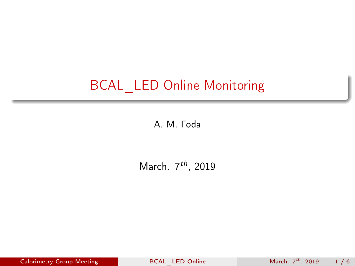# <span id="page-0-0"></span>BCAL\_LED Online Monitoring

A. M. Foda

March.  $7<sup>th</sup>$ , 2019

Calorimetry Group Meeting [BCAL\\_LED Online](#page-5-0) March.  $7^{th}$ , 2019 1 / 6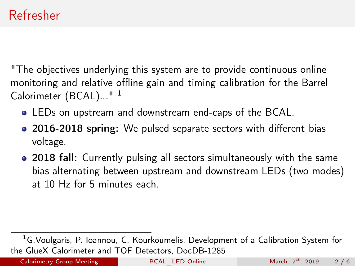"The objectives underlying this system are to provide continuous online monitoring and relative offline gain and timing calibration for the Barrel Calorimeter (BCAL)...<sup>"1</sup>

- LEDs on upstream and downstream end-caps of the BCAL.
- 2016-2018 spring: We pulsed separate sectors with different bias voltage.
- 2018 fall: Currently pulsing all sectors simultaneously with the same bias alternating between upstream and downstream LEDs (two modes) at 10 Hz for 5 minutes each.

<sup>&</sup>lt;sup>1</sup>[G.Voulgaris, P. Ioannou, C. Kourkoumelis, Development of a Calibration System for](https://halldweb.jlab.org/doc-private/DocDB/ShowDocument?docid=1285) [the GlueX Calorimeter and TOF Detectors, DocDB-1285](https://halldweb.jlab.org/doc-private/DocDB/ShowDocument?docid=1285)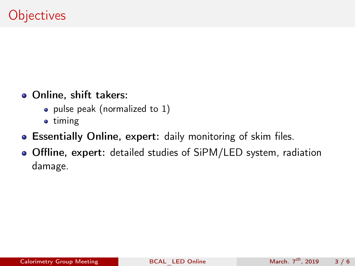- Online, shift takers:
	- pulse peak (normalized to 1)
	- timing
- Essentially Online, expert: daily monitoring of skim files.
- Offline, expert: detailed studies of SiPM/LED system, radiation damage.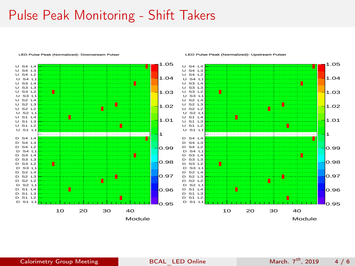## Pulse Peak Monitoring - Shift Takers

#### LED Pulse Peak (Normalized)- Downstream Pulser



#### LED Pulse Peak (Normalized)- Upstream Pulser

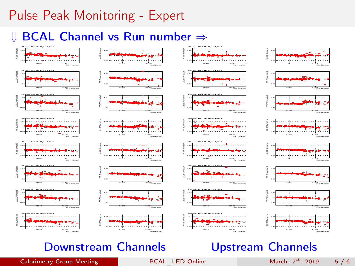# Pulse Peak Monitoring - Expert

## ⇓ BCAL Channel vs Run number ⇒



### Downstream Channels **Upstream Channels**



#### $Calorimetry Group Meeting$  [BCAL\\_LED Online](#page-0-0) March.  $7<sup>th</sup>$ , 2019 5 / 6